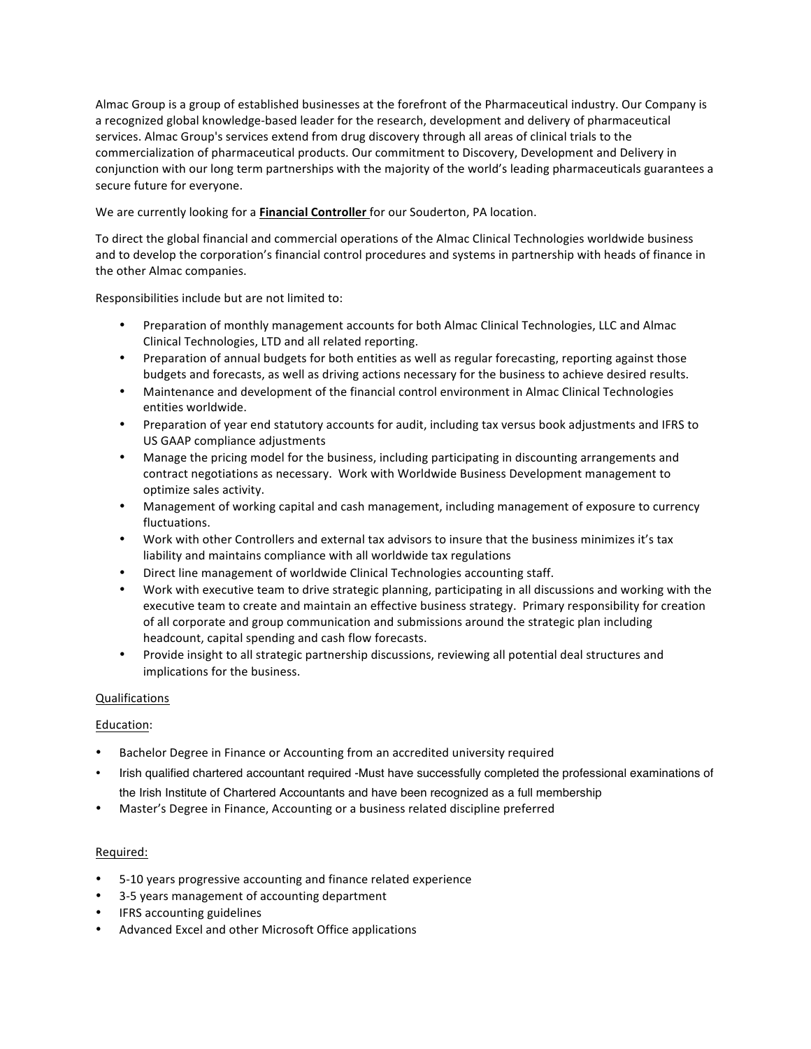Almac Group is a group of established businesses at the forefront of the Pharmaceutical industry. Our Company is a recognized global knowledge-based leader for the research, development and delivery of pharmaceutical services. Almac Group's services extend from drug discovery through all areas of clinical trials to the commercialization of pharmaceutical products. Our commitment to Discovery, Development and Delivery in conjunction with our long term partnerships with the majority of the world's leading pharmaceuticals guarantees a secure future for everyone.

We are currently looking for a Financial Controller for our Souderton, PA location.

To direct the global financial and commercial operations of the Almac Clinical Technologies worldwide business and to develop the corporation's financial control procedures and systems in partnership with heads of finance in the other Almac companies.

Responsibilities include but are not limited to:

- Preparation of monthly management accounts for both Almac Clinical Technologies, LLC and Almac Clinical Technologies, LTD and all related reporting.
- Preparation of annual budgets for both entities as well as regular forecasting, reporting against those budgets and forecasts, as well as driving actions necessary for the business to achieve desired results.
- Maintenance and development of the financial control environment in Almac Clinical Technologies entities worldwide.
- Preparation of year end statutory accounts for audit, including tax versus book adjustments and IFRS to US GAAP compliance adjustments
- Manage the pricing model for the business, including participating in discounting arrangements and contract negotiations as necessary. Work with Worldwide Business Development management to optimize sales activity.
- Management of working capital and cash management, including management of exposure to currency fluctuations.
- Work with other Controllers and external tax advisors to insure that the business minimizes it's tax liability and maintains compliance with all worldwide tax regulations
- Direct line management of worldwide Clinical Technologies accounting staff.
- Work with executive team to drive strategic planning, participating in all discussions and working with the executive team to create and maintain an effective business strategy. Primary responsibility for creation of all corporate and group communication and submissions around the strategic plan including headcount, capital spending and cash flow forecasts.
- Provide insight to all strategic partnership discussions, reviewing all potential deal structures and implications for the business.

## Qualifications

## Education:

- Bachelor Degree in Finance or Accounting from an accredited university required
- Irish qualified chartered accountant required -Must have successfully completed the professional examinations of the Irish Institute of Chartered Accountants and have been recognized as a full membership
- Master's Degree in Finance, Accounting or a business related discipline preferred

## Required:

- 5-10 years progressive accounting and finance related experience
- 3-5 years management of accounting department
- **IFRS** accounting guidelines
- Advanced Excel and other Microsoft Office applications